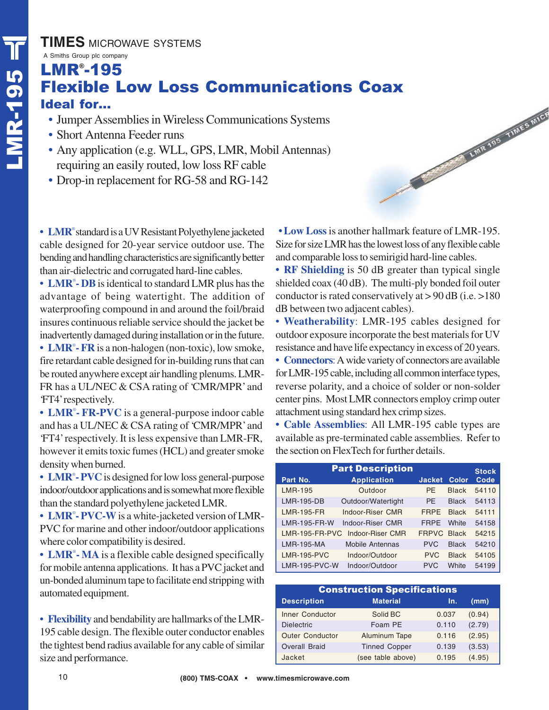**TIMES** MICROWAVE SYSTEMS

## TIMES MICH<br>
A Smiths Group plc cor<br>
LMR<sup>®</sup>-19<br>
Flexible<br>
Ideal for...<br>
Jumper Ass<br>
• Short Anter<br>
• Any applica A Smiths Group plc company LMR® -195 Flexible Low Loss Communications Coax LWR 195 TIMES MICH

- Jumper Assemblies in Wireless Communications Systems
- Short Antenna Feeder runs
- Any application (e.g. WLL, GPS, LMR, Mobil Antennas) requiring an easily routed, low loss RF cable
- Drop-in replacement for RG-58 and RG-142

**• LMR**® standard is a UV Resistant Polyethylene jacketed cable designed for 20-year service outdoor use. The bending and handling characteristics are significantly better than air-dielectric and corrugated hard-line cables.

**• LMR**® **- DB**is identical to standard LMR plus has the advantage of being watertight. The addition of waterproofing compound in and around the foil/braid insures continuous reliable service should the jacket be inadvertently damaged during installation or in the future. **• LMR**® **- FR** is a non-halogen (non-toxic), low smoke, fire retardant cable designed for in-building runs that can be routed anywhere except air handling plenums. LMR-FR has a UL/NEC & CSA rating of 'CMR/MPR' and 'FT4' respectively.

**• LMR**® **- FR-PVC** is a general-purpose indoor cable and has a UL/NEC & CSA rating of 'CMR/MPR' and 'FT4' respectively. It is less expensive than LMR-FR, however it emits toxic fumes (HCL) and greater smoke density when burned.

**• LMR**® **- PVC**is designed for low loss general-purpose indoor/outdoor applications and is somewhat more flexible than the standard polyethylene jacketed LMR.

**• LMR**® **- PVC-W**is a white-jacketed version of LMR-PVC for marine and other indoor/outdoor applications where color compatibility is desired.

**• LMR**® **- MA** is a flexible cable designed specifically for mobile antenna applications. It has a PVC jacket and un-bonded aluminum tape to facilitate end stripping with automated equipment.

• **Flexibility** and bendability are hallmarks of the LMR-195 cable design. The flexible outer conductor enables the tightest bend radius available for any cable of similar size and performance.

**• Low Loss**is another hallmark feature of LMR-195. Size for size LMR has the lowest loss of any flexible cable and comparable loss to semirigid hard-line cables.

**• RF Shielding** is 50 dB greater than typical single shielded coax (40 dB). The multi-ply bonded foil outer conductor is rated conservatively at > 90 dB (i.e. >180 dB between two adjacent cables).

• **Weatherability**: LMR-195 cables designed for outdoor exposure incorporate the best materials for UV resistance and have life expectancy in excess of 20 years.

**• Connectors**: A wide variety of connectors are available for LMR-195 cable, including all common interface types, reverse polarity, and a choice of solder or non-solder center pins. Most LMR connectors employ crimp outer attachment using standard hex crimp sizes.

**• Cable Assemblies**: All LMR-195 cable types are available as pre-terminated cable assemblies. Refer to the section on FlexTech for further details.

|                      | <b>Part Description</b> |                    |              | <b>Stock</b> |
|----------------------|-------------------------|--------------------|--------------|--------------|
| Part No.             | <b>Application</b>      | <b>Jacket</b>      | Color        | Code         |
| <b>LMR-195</b>       | Outdoor                 | <b>PF</b>          | <b>Black</b> | 54110        |
| <b>LMR-195-DB</b>    | Outdoor/Watertight      | <b>PF</b>          | <b>Black</b> | 54113        |
| <b>LMR-195-FR</b>    | Indoor-Riser CMR        | <b>FRPF</b>        | <b>Black</b> | 54111        |
| <b>LMR-195-FR-W</b>  | Indoor-Riser CMR        | <b>FRPF</b>        | White        | 54158        |
| LMR-195-FR-PVC       | Indoor-Riser CMR        | <b>FRPVC Black</b> |              | 54215        |
| <b>LMR-195-MA</b>    | <b>Mobile Antennas</b>  | <b>PVC</b>         | <b>Black</b> | 54210        |
| <b>LMR-195-PVC</b>   | Indoor/Outdoor          | <b>PVC</b>         | <b>Black</b> | 54105        |
| <b>LMR-195-PVC-W</b> | Indoor/Outdoor          | <b>PVC</b>         | White        | 54199        |

|                        | <b>Construction Specifications</b> |       |        |
|------------------------|------------------------------------|-------|--------|
| <b>Description</b>     | <b>Material</b>                    | In.   | (mm)   |
| <b>Inner Conductor</b> | Solid BC                           | 0.037 | (0.94) |
| <b>Dielectric</b>      | Foam PE                            | 0.110 | (2.79) |
| <b>Outer Conductor</b> | Aluminum Tape                      | 0.116 | (2.95) |
| <b>Overall Braid</b>   | <b>Tinned Copper</b>               | 0.139 | (3.53) |
| Jacket                 | (see table above)                  | 0.195 | (4.95) |